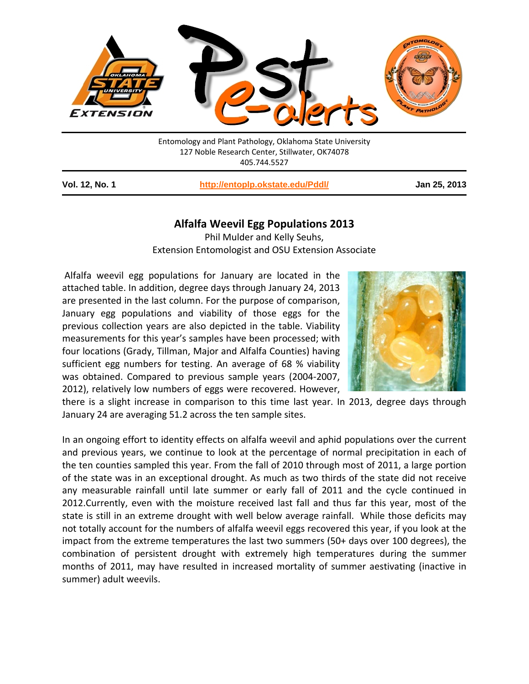

Entomology and Plant Pathology, Oklahoma State University 127 Noble Research Center, Stillwater, OK74078 405.744.5527

**Vol. 12, No. 1 <http://entoplp.okstate.edu/Pddl/> Jan 25, 2013**

## **Alfalfa Weevil Egg Populations 2013**

Phil Mulder and Kelly Seuhs, Extension Entomologist and OSU Extension Associate

Alfalfa weevil egg populations for January are located in the attached table. In addition, degree days through January 24, 2013 are presented in the last column. For the purpose of comparison, January egg populations and viability of those eggs for the previous collection years are also depicted in the table. Viability measurements for this year's samples have been processed; with four locations (Grady, Tillman, Major and Alfalfa Counties) having sufficient egg numbers for testing. An average of 68 % viability was obtained. Compared to previous sample years (2004-2007, 2012), relatively low numbers of eggs were recovered. However,



there is a slight increase in comparison to this time last year. In 2013, degree days through January 24 are averaging 51.2 across the ten sample sites.

In an ongoing effort to identity effects on alfalfa weevil and aphid populations over the current and previous years, we continue to look at the percentage of normal precipitation in each of the ten counties sampled this year. From the fall of 2010 through most of 2011, a large portion of the state was in an exceptional drought. As much as two thirds of the state did not receive any measurable rainfall until late summer or early fall of 2011 and the cycle continued in 2012.Currently, even with the moisture received last fall and thus far this year, most of the state is still in an extreme drought with well below average rainfall. While those deficits may not totally account for the numbers of alfalfa weevil eggs recovered this year, if you look at the impact from the extreme temperatures the last two summers (50+ days over 100 degrees), the combination of persistent drought with extremely high temperatures during the summer months of 2011, may have resulted in increased mortality of summer aestivating (inactive in summer) adult weevils.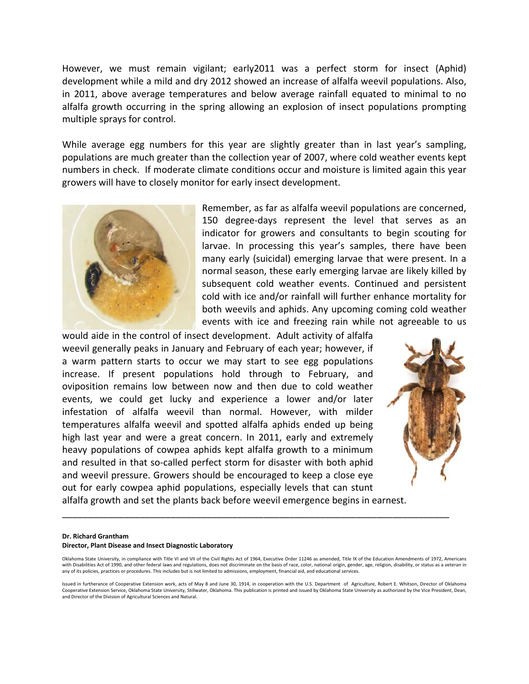However, we must remain vigilant; early2011 was a perfect storm for insect (Aphid) development while a mild and dry 2012 showed an increase of alfalfa weevil populations. Also, in 2011, above average temperatures and below average rainfall equated to minimal to no alfalfa growth occurring in the spring allowing an explosion of insect populations prompting multiple sprays for control.

While average egg numbers for this year are slightly greater than in last year's sampling, populations are much greater than the collection year of 2007, where cold weather events kept numbers in check. If moderate climate conditions occur and moisture is limited again this year growers will have to closely monitor for early insect development.



Remember, as far as alfalfa weevil populations are concerned, 150 degree-days represent the level that serves as an indicator for growers and consultants to begin scouting for larvae. In processing this year's samples, there have been many early (suicidal) emerging larvae that were present. In a normal season, these early emerging larvae are likely killed by subsequent cold weather events. Continued and persistent cold with ice and/or rainfall will further enhance mortality for both weevils and aphids. Any upcoming coming cold weather events with ice and freezing rain while not agreeable to us

would aide in the control of insect development. Adult activity of alfalfa weevil generally peaks in January and February of each year; however, if a warm pattern starts to occur we may start to see egg populations increase. If present populations hold through to February, and oviposition remains low between now and then due to cold weather events, we could get lucky and experience a lower and/or later infestation of alfalfa weevil than normal. However, with milder temperatures alfalfa weevil and spotted alfalfa aphids ended up being high last year and were a great concern. In 2011, early and extremely heavy populations of cowpea aphids kept alfalfa growth to a minimum and resulted in that so-called perfect storm for disaster with both aphid and weevil pressure. Growers should be encouraged to keep a close eye out for early cowpea aphid populations, especially levels that can stunt



alfalfa growth and set the plants back before weevil emergence begins in earnest.

## **Dr. Richard Grantham**

## **Director, Plant Disease and Insect Diagnostic Laboratory**

Oklahoma State University, in compliance with Title VI and VII of the Civil Rights Act of 1964, Executive Order 11246 as amended, Title IX of the Education Amendments of 1972, Americans with Disabilities Act of 1990, and other federal laws and regulations, does not discriminate on the basis of race, color, national origin, gender, age, religion, disability, or status as a veteran in any of its policies, practices or procedures. This includes but is not limited to admissions, employment, financial aid, and educational services.

\_\_\_\_\_\_\_\_\_\_\_\_\_\_\_\_\_\_\_\_\_\_\_\_\_\_\_\_\_\_\_\_\_\_\_\_\_\_\_\_\_\_\_\_\_\_\_\_\_\_\_\_\_\_\_\_\_\_\_\_\_\_\_\_\_\_\_\_\_\_\_\_\_\_\_

Issued in furtherance of Cooperative Extension work, acts of May 8 and June 30, 1914, in cooperation with the U.S. Department of Agriculture, Robert E. Whitson, Director of Oklahoma Cooperative Extension Service, Oklahoma State University, Stillwater, Oklahoma. This publication is printed and issued by Oklahoma State University as authorized by the Vice President, Dean, and Director of the Division of Agricultural Sciences and Natural.